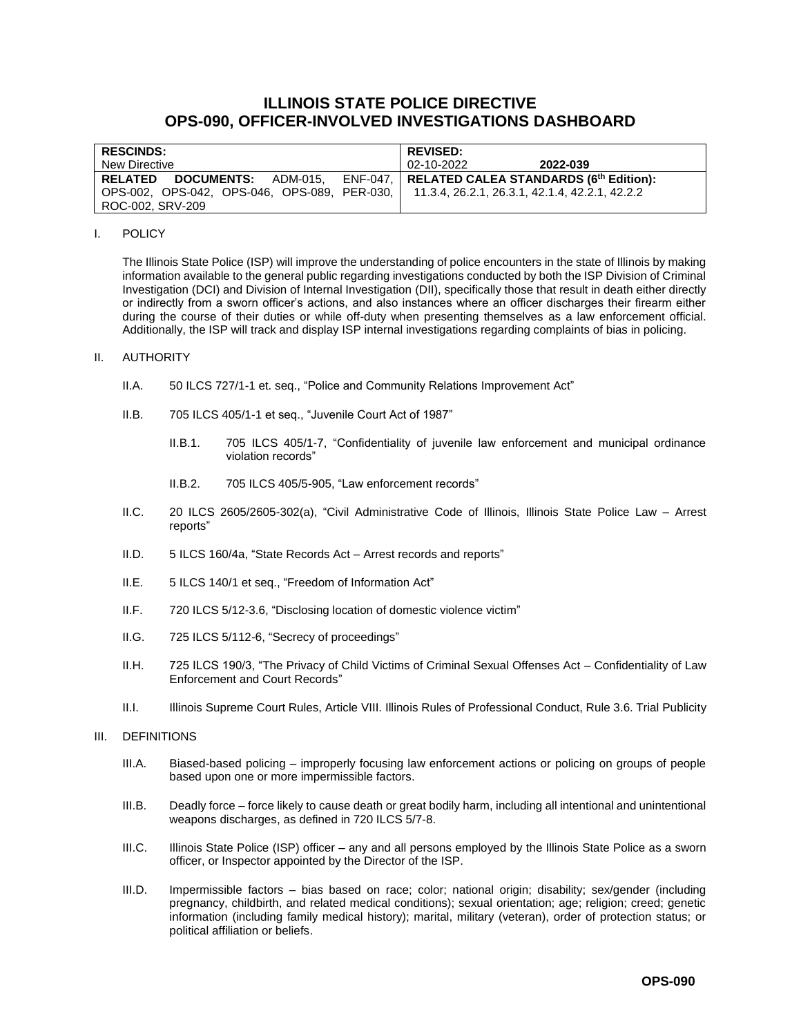# **ILLINOIS STATE POLICE DIRECTIVE OPS-090, OFFICER-INVOLVED INVESTIGATIONS DASHBOARD**

| <b>RESCINDS:</b>                                                                                | <b>REVISED:</b>                                |
|-------------------------------------------------------------------------------------------------|------------------------------------------------|
| New Directive                                                                                   | 02-10-2022<br>2022-039                         |
| RELATED DOCUMENTS: $ADM-015$ , $ENF-047$ ,   RELATED CALEA STANDARDS (6 <sup>th</sup> Edition): |                                                |
| OPS-002, OPS-042, OPS-046, OPS-089, PER-030,                                                    | 11.3.4, 26.2.1, 26.3.1, 42.1.4, 42.2.1, 42.2.2 |
| ROC-002, SRV-209                                                                                |                                                |

#### I. POLICY

The Illinois State Police (ISP) will improve the understanding of police encounters in the state of Illinois by making information available to the general public regarding investigations conducted by both the ISP Division of Criminal Investigation (DCI) and Division of Internal Investigation (DII), specifically those that result in death either directly or indirectly from a sworn officer's actions, and also instances where an officer discharges their firearm either during the course of their duties or while off-duty when presenting themselves as a law enforcement official. Additionally, the ISP will track and display ISP internal investigations regarding complaints of bias in policing.

#### II. AUTHORITY

- II.A. 50 ILCS 727/1-1 et. seq., "Police and Community Relations Improvement Act"
- II.B. 705 ILCS 405/1-1 et seq., "Juvenile Court Act of 1987"
	- II.B.1. 705 ILCS 405/1-7, "Confidentiality of juvenile law enforcement and municipal ordinance violation records"
	- II.B.2. 705 ILCS 405/5-905, "Law enforcement records"
- II.C. 20 ILCS 2605/2605-302(a), "Civil Administrative Code of Illinois, Illinois State Police Law Arrest reports"
- II.D. 5 ILCS 160/4a, "State Records Act Arrest records and reports"
- II.E. 5 ILCS 140/1 et seq., "Freedom of Information Act"
- II.F. 720 ILCS 5/12-3.6, "Disclosing location of domestic violence victim"
- II.G. 725 ILCS 5/112-6, "Secrecy of proceedings"
- II.H. 725 ILCS 190/3, "The Privacy of Child Victims of Criminal Sexual Offenses Act Confidentiality of Law Enforcement and Court Records"
- II.I. Illinois Supreme Court Rules, Article VIII. Illinois Rules of Professional Conduct, Rule 3.6. Trial Publicity

## III. DEFINITIONS

- III.A. Biased-based policing improperly focusing law enforcement actions or policing on groups of people based upon one or more impermissible factors.
- III.B. Deadly force force likely to cause death or great bodily harm, including all intentional and unintentional weapons discharges, as defined in 720 ILCS 5/7-8.
- III.C. Illinois State Police (ISP) officer any and all persons employed by the Illinois State Police as a sworn officer, or Inspector appointed by the Director of the ISP.
- III.D. Impermissible factors bias based on race; color; national origin; disability; sex/gender (including pregnancy, childbirth, and related medical conditions); sexual orientation; age; religion; creed; genetic information (including family medical history); marital, military (veteran), order of protection status; or political affiliation or beliefs.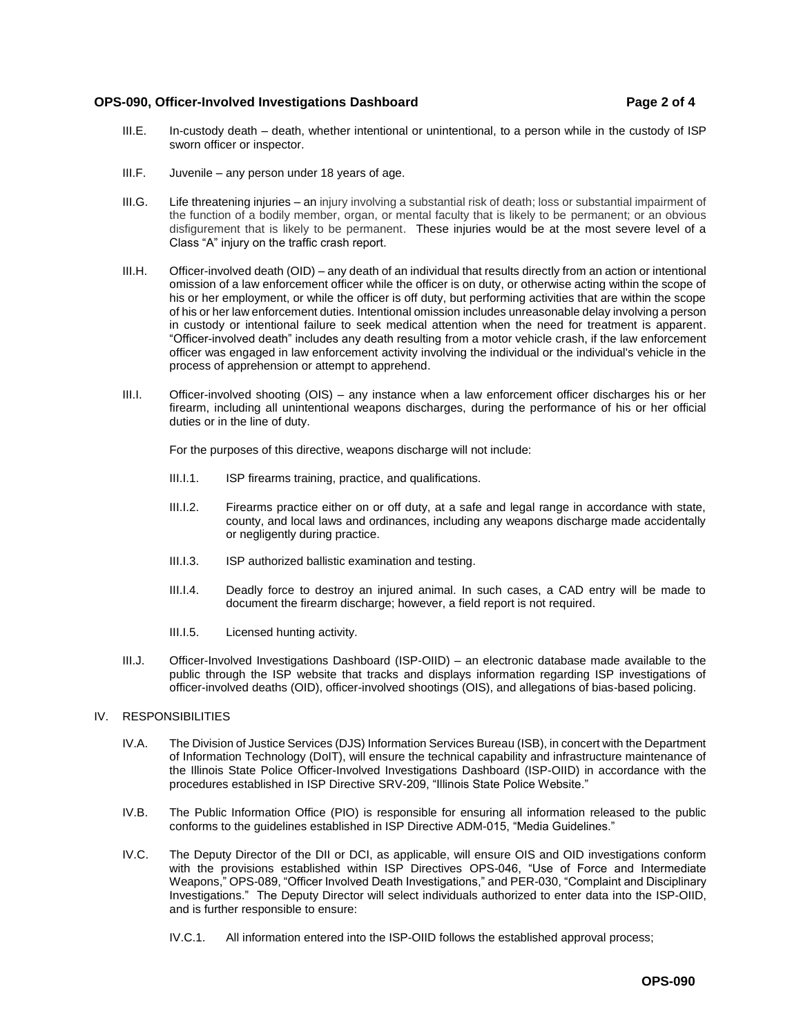# **OPS-090, Officer-Involved Investigations Dashboard Page 2 of 4**

- III.E. In-custody death death, whether intentional or unintentional, to a person while in the custody of ISP sworn officer or inspector.
- III.F. Juvenile any person under 18 years of age.
- III.G. Life threatening injuries an injury involving a substantial risk of death; loss or substantial impairment of the function of a bodily member, organ, or mental faculty that is likely to be permanent; or an obvious disfigurement that is likely to be permanent. These injuries would be at the most severe level of a Class "A" injury on the traffic crash report.
- III.H. Officer-involved death (OID) any death of an individual that results directly from an action or intentional omission of a law enforcement officer while the officer is on duty, or otherwise acting within the scope of his or her employment, or while the officer is off duty, but performing activities that are within the scope of his or her law enforcement duties. Intentional omission includes unreasonable delay involving a person in custody or intentional failure to seek medical attention when the need for treatment is apparent. "Officer-involved death" includes any death resulting from a motor vehicle crash, if the law enforcement officer was engaged in law enforcement activity involving the individual or the individual's vehicle in the process of apprehension or attempt to apprehend.
- III.I. Officer-involved shooting (OIS) any instance when a law enforcement officer discharges his or her firearm, including all unintentional weapons discharges, during the performance of his or her official duties or in the line of duty.

For the purposes of this directive, weapons discharge will not include:

- III.I.1. ISP firearms training, practice, and qualifications.
- III.I.2. Firearms practice either on or off duty, at a safe and legal range in accordance with state, county, and local laws and ordinances, including any weapons discharge made accidentally or negligently during practice.
- III.I.3. ISP authorized ballistic examination and testing.
- III.I.4. Deadly force to destroy an injured animal. In such cases, a CAD entry will be made to document the firearm discharge; however, a field report is not required.
- III.I.5. Licensed hunting activity.
- III.J. Officer-Involved Investigations Dashboard (ISP-OIID) an electronic database made available to the public through the ISP website that tracks and displays information regarding ISP investigations of officer-involved deaths (OID), officer-involved shootings (OIS), and allegations of bias-based policing.

## IV. RESPONSIBILITIES

- IV.A. The Division of Justice Services (DJS) Information Services Bureau (ISB), in concert with the Department of Information Technology (DoIT), will ensure the technical capability and infrastructure maintenance of the Illinois State Police Officer-Involved Investigations Dashboard (ISP-OIID) in accordance with the procedures established in ISP Directive SRV-209, "Illinois State Police Website."
- IV.B. The Public Information Office (PIO) is responsible for ensuring all information released to the public conforms to the guidelines established in ISP Directive ADM-015, "Media Guidelines."
- IV.C. The Deputy Director of the DII or DCI, as applicable, will ensure OIS and OID investigations conform with the provisions established within ISP Directives OPS-046, "Use of Force and Intermediate Weapons," OPS-089, "Officer Involved Death Investigations," and PER-030, "Complaint and Disciplinary Investigations." The Deputy Director will select individuals authorized to enter data into the ISP-OIID, and is further responsible to ensure:
	- IV.C.1. All information entered into the ISP-OIID follows the established approval process;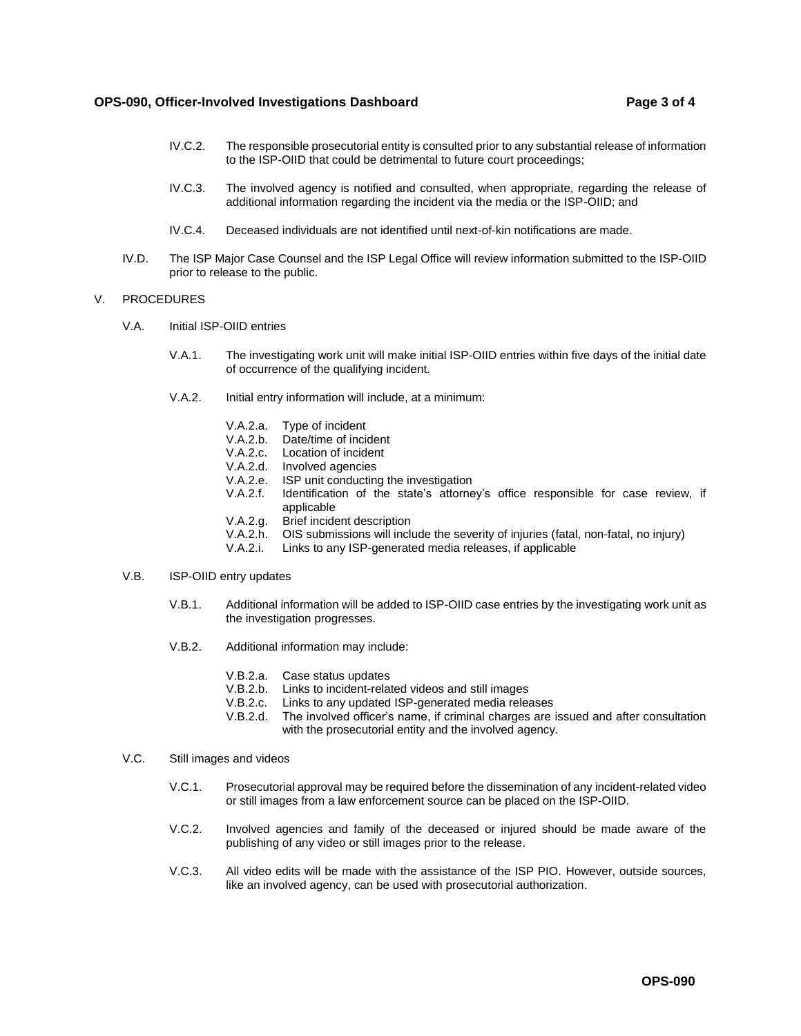## **OPS-090, Officer-Involved Investigations Dashboard Page 3 of 4**

- IV.C.2. The responsible prosecutorial entity is consulted prior to any substantial release of information to the ISP-OIID that could be detrimental to future court proceedings;
- IV.C.3. The involved agency is notified and consulted, when appropriate, regarding the release of additional information regarding the incident via the media or the ISP-OIID; and
- IV.C.4. Deceased individuals are not identified until next-of-kin notifications are made.
- IV.D. The ISP Major Case Counsel and the ISP Legal Office will review information submitted to the ISP-OIID prior to release to the public.

#### V. PROCEDURES

- V.A. Initial ISP-OIID entries
	- V.A.1. The investigating work unit will make initial ISP-OIID entries within five days of the initial date of occurrence of the qualifying incident.
	- V.A.2. Initial entry information will include, at a minimum:
		- V.A.2.a. Type of incident
		- V.A.2.b. Date/time of incident
		- V.A.2.c. Location of incident
		- V.A.2.d. Involved agencies
		- V.A.2.e. ISP unit conducting the investigation
		- V.A.2.f. Identification of the state's attorney's office responsible for case review, if applicable
		- V.A.2.g. Brief incident description
		- V.A.2.h. OIS submissions will include the severity of injuries (fatal, non-fatal, no injury)
		- Links to any ISP-generated media releases, if applicable

## V.B. ISP-OIID entry updates

- V.B.1. Additional information will be added to ISP-OIID case entries by the investigating work unit as the investigation progresses.
- V.B.2. Additional information may include:
	- V.B.2.a. Case status updates
	- V.B.2.b. Links to incident-related videos and still images
	- V.B.2.c. Links to any updated ISP-generated media releases
	- V.B.2.d. The involved officer's name, if criminal charges are issued and after consultation with the prosecutorial entity and the involved agency.

#### V.C. Still images and videos

- V.C.1. Prosecutorial approval may be required before the dissemination of any incident-related video or still images from a law enforcement source can be placed on the ISP-OIID.
- V.C.2. Involved agencies and family of the deceased or injured should be made aware of the publishing of any video or still images prior to the release.
- V.C.3. All video edits will be made with the assistance of the ISP PIO. However, outside sources, like an involved agency, can be used with prosecutorial authorization.